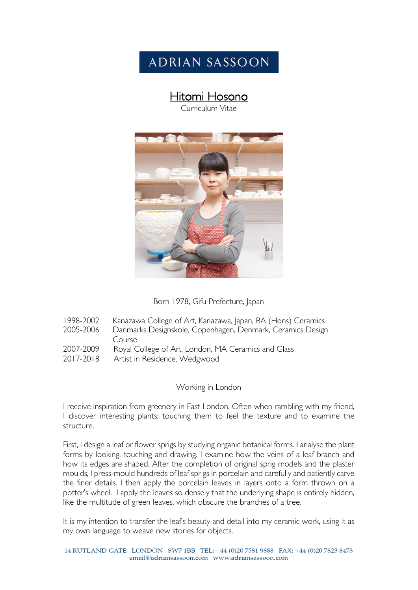# **ADRIAN SASSOON**

# **Hitomi Hosono**<br>Curriculum Vitae



| Born 1978, Gifu Prefecture, Japan |
|-----------------------------------|
|-----------------------------------|

1998-2002 Kanazawa College of Art, Kanazawa, Japan, BA (Hons) Ceramics 2005-2006 Danmarks Designskole, Copenhagen, Denmark, Ceramics Design Course 2007-2009 Royal College of Art, London, MA Ceramics and Glass<br>2017-2018 Artist in Residence, Wedgwood Artist in Residence, Wedgwood

#### Working in London

I receive inspiration from greenery in East London. Often when rambling with my friend, I discover interesting plants; touching them to feel the texture and to examine the structure.

First, I design a leaf or flower sprigs by studying organic botanical forms. I analyse the plant forms by looking, touching and drawing. I examine how the veins of a leaf branch and how its edges are shaped. After the completion of original sprig models and the plaster moulds, I press-mould hundreds of leaf sprigs in porcelain and carefully and patiently carve the finer details. I then apply the porcelain leaves in layers onto a form thrown on a potter's wheel. I apply the leaves so densely that the underlying shape is entirely hidden, like the multitude of green leaves, which obscure the branches of a tree.

It is my intention to transfer the leaf's beauty and detail into my ceramic work, using it as my own language to weave new stories for objects.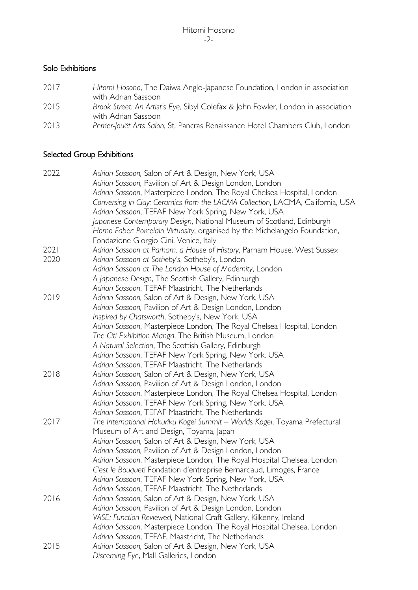#### Solo Exhibitions

- 2017 *Hitomi Hosono*, The Daiwa Anglo-Japanese Foundation, London in association with Adrian Sassoon
- 2015 *Brook Street: An Artist's Eye,* Sibyl Colefax & John Fowler, London in association with Adrian Sassoon
- 2013 *Perrier-Jouët Arts Salon*, St. Pancras Renaissance Hotel Chambers Club, London

#### Selected Group Exhibitions

| 2022 | Adrian Sassoon, Salon of Art & Design, New York, USA                                                                         |
|------|------------------------------------------------------------------------------------------------------------------------------|
|      | Adrian Sassoon, Pavilion of Art & Design London, London                                                                      |
|      | Adrian Sassoon, Masterpiece London, The Royal Chelsea Hospital, London                                                       |
|      | Conversing in Clay: Ceramics from the LACMA Collection, LACMA, California, USA                                               |
|      | Adrian Sassoon, TEFAF New York Spring, New York, USA                                                                         |
|      | Japanese Contemporary Design, National Museum of Scotland, Edinburgh                                                         |
|      | Homo Faber: Porcelain Virtuosity, organised by the Michelangelo Foundation,                                                  |
|      | Fondazione Giorgio Cini, Venice, Italy                                                                                       |
| 2021 | Adrian Sassoon at Parham, a House of History, Parham House, West Sussex                                                      |
| 2020 | Adrian Sassoon at Sotheby's, Sotheby's, London                                                                               |
|      | Adrian Sassoon at The London House of Modernity, London                                                                      |
|      | A Japanese Design, The Scottish Gallery, Edinburgh                                                                           |
|      | Adrian Sassoon, TEFAF Maastricht, The Netherlands                                                                            |
| 2019 | Adrian Sassoon, Salon of Art & Design, New York, USA                                                                         |
|      | Adrian Sassoon, Pavilion of Art & Design London, London                                                                      |
|      | Inspired by Chatsworth, Sotheby's, New York, USA                                                                             |
|      | Adrian Sassoon, Masterpiece London, The Royal Chelsea Hospital, London                                                       |
|      | The Citi Exhibition Manga, The British Museum, London                                                                        |
|      | A Natural Selection, The Scottish Gallery, Edinburgh                                                                         |
|      | Adrian Sassoon, TEFAF New York Spring, New York, USA                                                                         |
|      | Adrian Sassoon, TEFAF Maastricht, The Netherlands                                                                            |
| 2018 | Adrian Sassoon, Salon of Art & Design, New York, USA                                                                         |
|      | Adrian Sassoon, Pavilion of Art & Design London, London                                                                      |
|      | Adrian Sassoon, Masterpiece London, The Royal Chelsea Hospital, London                                                       |
|      | Adrian Sassoon, TEFAF New York Spring, New York, USA                                                                         |
|      | Adrian Sassoon, TEFAF Maastricht, The Netherlands                                                                            |
| 2017 | The International Hokuriku Kogei Summit - Worlds Kogei, Toyama Prefectural                                                   |
|      | Museum of Art and Design, Toyama, Japan                                                                                      |
|      | Adrian Sassoon, Salon of Art & Design, New York, USA                                                                         |
|      | Adrian Sassoon, Pavilion of Art & Design London, London                                                                      |
|      | Adrian Sassoon, Masterpiece London, The Royal Hospital Chelsea, London                                                       |
|      | C'est le Bouquet! Fondation d'entreprise Bernardaud, Limoges, France                                                         |
|      | Adrian Sassoon, TEFAF New York Spring, New York, USA                                                                         |
|      | Adrian Sassoon, TEFAF Maastricht, The Netherlands                                                                            |
| 2016 | Adrian Sassoon, Salon of Art & Design, New York, USA                                                                         |
|      | Adrian Sassoon, Pavilion of Art & Design London, London                                                                      |
|      | VASE: Function Reviewed, National Craft Gallery, Kilkenny, Ireland                                                           |
|      |                                                                                                                              |
|      | Adrian Sassoon, Masterpiece London, The Royal Hospital Chelsea, London<br>Adrian Sassoon, TEFAF, Maastricht, The Netherlands |
|      | Adrian Sassoon, Salon of Art & Design, New York, USA                                                                         |
| 2015 |                                                                                                                              |
|      | Discerning Eye, Mall Galleries, London                                                                                       |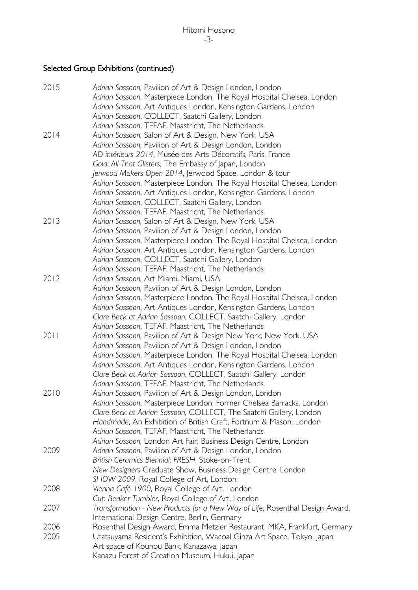### Selected Group Exhibitions (continued)

| 2015 | Adrian Sassoon, Pavilion of Art & Design London, London<br>Adrian Sassoon, Masterpiece London, The Royal Hospital Chelsea, London |
|------|-----------------------------------------------------------------------------------------------------------------------------------|
|      | Adrian Sassoon, Art Antiques London, Kensington Gardens, London<br>Adrian Sassoon, COLLECT, Saatchi Gallery, London               |
|      | Adrian Sassoon, TEFAF, Maastricht, The Netherlands                                                                                |
| 2014 | Adrian Sassoon, Salon of Art & Design, New York, USA                                                                              |
|      | Adrian Sassoon, Pavilion of Art & Design London, London                                                                           |
|      | AD intérieurs 2014, Musée des Arts Décoratifs, Paris, France                                                                      |
|      | Gold: All That Glisters, The Embassy of Japan, London                                                                             |
|      | Jerwood Makers Open 2014, Jerwood Space, London & tour                                                                            |
|      | Adrian Sassoon, Masterpiece London, The Royal Hospital Chelsea, London                                                            |
|      | Adrian Sassoon, Art Antiques London, Kensington Gardens, London                                                                   |
|      | Adrian Sassoon, COLLECT, Saatchi Gallery, London                                                                                  |
|      | Adrian Sassoon, TEFAF, Maastricht, The Netherlands                                                                                |
| 2013 | Adrian Sassoon, Salon of Art & Design, New York, USA                                                                              |
|      | Adrian Sassoon, Pavilion of Art & Design London, London                                                                           |
|      | Adrian Sassoon, Masterpiece London, The Royal Hospital Chelsea, London                                                            |
|      | Adrian Sassoon, Art Antiques London, Kensington Gardens, London                                                                   |
|      | Adrian Sassoon, COLLECT, Saatchi Gallery, London                                                                                  |
|      | Adrian Sassoon, TEFAF, Maastricht, The Netherlands                                                                                |
| 2012 | Adrian Sassoon, Art Miami, Miami, USA                                                                                             |
|      | Adrian Sassoon, Pavilion of Art & Design London, London                                                                           |
|      | Adrian Sassoon, Masterpiece London, The Royal Hospital Chelsea, London                                                            |
|      | Adrian Sassoon, Art Antiques London, Kensington Gardens, London                                                                   |
|      | Clare Beck at Adrian Sassoon, COLLECT, Saatchi Gallery, London                                                                    |
|      | Adrian Sassoon, TEFAF, Maastricht, The Netherlands                                                                                |
| 2011 | Adrian Sassoon, Pavilion of Art & Design New York, New York, USA                                                                  |
|      | Adrian Sassoon, Pavilion of Art & Design London, London                                                                           |
|      | Adrian Sassoon, Masterpiece London, The Royal Hospital Chelsea, London                                                            |
|      | Adrian Sassoon, Art Antiques London, Kensington Gardens, London                                                                   |
|      | Clare Beck at Adrian Sassoon, COLLECT, Saatchi Gallery, London                                                                    |
|      | Adrian Sassoon, TEFAF, Maastricht, The Netherlands                                                                                |
| 2010 | Adrian Sassoon, Pavilion of Art & Design London, London                                                                           |
|      | Adrian Sassoon, Masterpiece London, Former Chelsea Barracks, London                                                               |
|      | Clare Beck at Adrian Sassoon, COLLECT, The Saatchi Gallery, London                                                                |
|      | Handmade, An Exhibition of British Craft, Fortnum & Mason, London                                                                 |
|      | Adrian Sassoon, TEFAF, Maastricht, The Netherlands                                                                                |
|      | Adrian Sassoon, London Art Fair, Business Design Centre, London                                                                   |
| 2009 | Adrian Sassoon, Pavilion of Art & Design London, London                                                                           |
|      | British Ceramics Biennial; FRESH, Stoke-on-Trent                                                                                  |
|      | New Designers Graduate Show, Business Design Centre, London                                                                       |
|      | SHOW 2009, Royal College of Art, London,                                                                                          |
| 2008 | Vienna Café 1900, Royal College of Art, London                                                                                    |
|      | Cup Beaker Tumbler, Royal College of Art, London                                                                                  |
| 2007 | Transformation - New Products for a New Way of Life, Rosenthal Design Award,                                                      |
|      | International Design Centre, Berlin, Germany                                                                                      |
| 2006 | Rosenthal Design Award, Emma Metzler Restaurant, MKA, Frankfurt, Germany                                                          |
| 2005 | Utatsuyama Resident's Exhibition, Wacoal Ginza Art Space, Tokyo, Japan                                                            |
|      | Art space of Kounou Bank, Kanazawa, Japan                                                                                         |
|      | Kanazu Forest of Creation Museum, Hukui, Japan                                                                                    |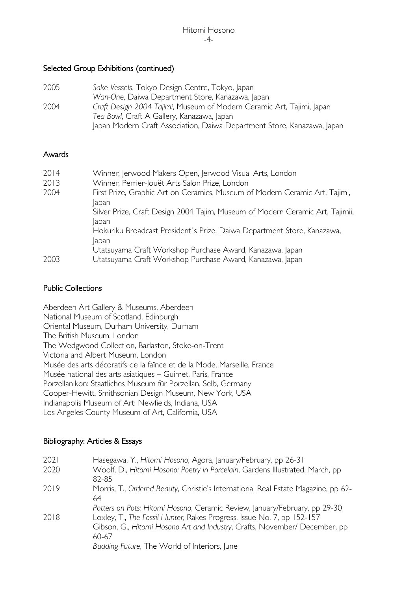#### Selected Group Exhibitions (continued)

| 2005 | Sake Vessels, Tokyo Design Centre, Tokyo, Japan                         |
|------|-------------------------------------------------------------------------|
|      | Wan-One, Daiwa Department Store, Kanazawa, Japan                        |
| 2004 | Craft Design 2004 Tajimi, Museum of Modern Ceramic Art, Tajimi, Japan   |
|      | Tea Bowl, Craft A Gallery, Kanazawa, Japan                              |
|      | Japan Modern Craft Association, Daiwa Department Store, Kanazawa, Japan |

#### Awards

| 2014 | Winner, Jerwood Makers Open, Jerwood Visual Arts, London                                |
|------|-----------------------------------------------------------------------------------------|
| 2013 | Winner, Perrier-Jouët Arts Salon Prize, London                                          |
| 2004 | First Prize, Graphic Art on Ceramics, Museum of Modern Ceramic Art, Tajimi,<br>lapan    |
|      | Silver Prize, Craft Design 2004 Tajim, Museum of Modern Ceramic Art, Tajimii,<br>apan   |
|      | Hokuriku Broadcast President's Prize, Daiwa Department Store, Kanazawa,<br><b>Japan</b> |
|      | Utatsuyama Craft Workshop Purchase Award, Kanazawa, Japan                               |
| 2003 | Utatsuyama Craft Workshop Purchase Award, Kanazawa, Japan                               |

#### Public Collections

Aberdeen Art Gallery & Museums, Aberdeen National Museum of Scotland, Edinburgh Oriental Museum, Durham University, Durham The British Museum, London The Wedgwood Collection, Barlaston, Stoke-on-Trent Victoria and Albert Museum, London Musée des arts décoratifs de la faïnce et de la Mode, Marseille, France Musée national des arts asiatiques – Guimet, Paris, France Porzellanikon: Staatliches Museum für Porzellan, Selb, Germany Cooper-Hewitt, Smithsonian Design Museum, New York, USA Indianapolis Museum of Art: Newfields, Indiana, USA Los Angeles County Museum of Art, California, USA

#### Bibliography: Articles & Essays

| 2021<br>2020 | Hasegawa, Y., Hitomi Hosono, Agora, January/February, pp 26-31<br>Woolf, D., Hitomi Hosono: Poetry in Porcelain, Gardens Illustrated, March, pp<br>82-85                                                                                                                                    |
|--------------|---------------------------------------------------------------------------------------------------------------------------------------------------------------------------------------------------------------------------------------------------------------------------------------------|
| 2019         | Morris, T., Ordered Beauty, Christie's International Real Estate Magazine, pp 62-<br>64                                                                                                                                                                                                     |
| 2018         | Potters on Pots: Hitomi Hosono, Ceramic Review, January/February, pp 29-30<br>Loxley, T., The Fossil Hunter, Rakes Progress, Issue No. 7, pp 152-157<br>Gibson, G., Hitomi Hosono Art and Industry, Crafts, November/ December, pp<br>60-67<br>Budding Future, The World of Interiors, June |